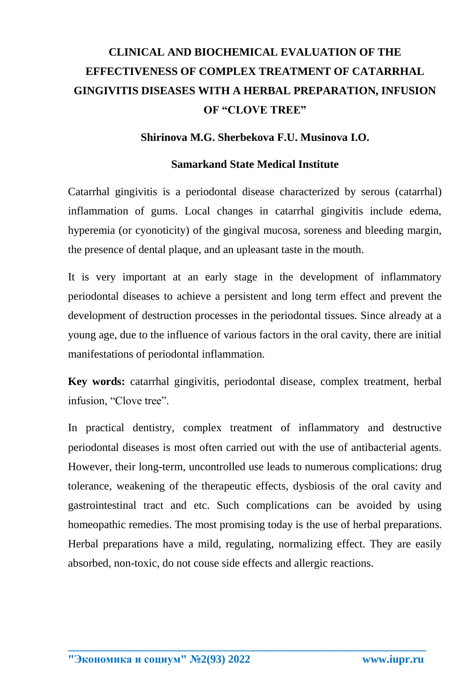# **CLINICAL AND BIOCHEMICAL EVALUATION OF THE EFFECTIVENESS OF COMPLEX TREATMENT OF CATARRHAL GINGIVITIS DISEASES WITH A HERBAL PREPARATION, INFUSION OF "CLOVE TREE"**

#### **Shirinova M.G. Sherbekova F.U. Musinova I.O.**

#### **Samarkand State Medical Institute**

Catarrhal gingivitis is a periodontal disease characterized by serous (catarrhal) inflammation of gums. Local changes in catarrhal gingivitis include edema, hyperemia (or cyonoticity) of the gingival mucosa, soreness and bleeding margin, the presence of dental plaque, and an upleasant taste in the mouth.

It is very important at an early stage in the development of inflammatory periodontal diseases to achieve a persistent and long term effect and prevent the development of destruction processes in the periodontal tissues. Since already at a young age, due to the influence of various factors in the oral cavity, there are initial manifestations of periodontal inflammation.

**Key words:** catarrhal gingivitis, periodontal disease, complex treatment, herbal infusion, "Clove tree".

In practical dentistry, complex treatment of inflammatory and destructive periodontal diseases is most often carried out with the use of antibacterial agents. However, their long-term, uncontrolled use leads to numerous complications: drug tolerance, weakening of the therapeutic effects, dysbiosis of the oral cavity and gastrointestinal tract and etc. Such complications can be avoided by using homeopathic remedies. The most promising today is the use of herbal preparations. Herbal preparations have a mild, regulating, normalizing effect. They are easily absorbed, non-toxic, do not couse side effects and allergic reactions.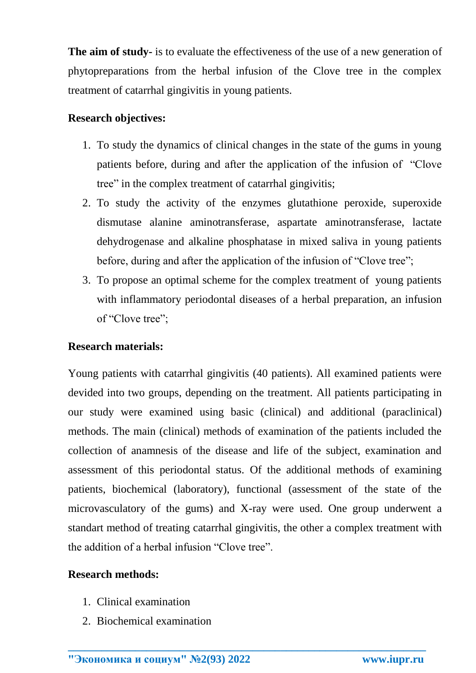**The aim of study-** is to evaluate the effectiveness of the use of a new generation of phytopreparations from the herbal infusion of the Clove tree in the complex treatment of catarrhal gingivitis in young patients.

## **Research objectives:**

- 1. To study the dynamics of clinical changes in the state of the gums in young patients before, during and after the application of the infusion of "Clove tree" in the complex treatment of catarrhal gingivitis;
- 2. To study the activity of the enzymes glutathione peroxide, superoxide dismutase alanine aminotransferase, aspartate aminotransferase, lactate dehydrogenase and alkaline phosphatase in mixed saliva in young patients before, during and after the application of the infusion of "Clove tree";
- 3. To propose an optimal scheme for the complex treatment of young patients with inflammatory periodontal diseases of a herbal preparation, an infusion of "Clove tree";

## **Research materials:**

Young patients with catarrhal gingivitis (40 patients). All examined patients were devided into two groups, depending on the treatment. All patients participating in our study were examined using basic (clinical) and additional (paraclinical) methods. The main (clinical) methods of examination of the patients included the collection of anamnesis of the disease and life of the subject, examination and assessment of this periodontal status. Of the additional methods of examining patients, biochemical (laboratory), functional (assessment of the state of the microvasculatory of the gums) and X-ray were used. One group underwent a standart method of treating catarrhal gingivitis, the other a complex treatment with the addition of a herbal infusion "Clove tree".

**\_\_\_\_\_\_\_\_\_\_\_\_\_\_\_\_\_\_\_\_\_\_\_\_\_\_\_\_\_\_\_\_\_\_\_\_\_\_\_\_\_\_\_\_\_\_\_\_\_\_\_\_\_\_\_\_\_\_\_\_\_\_\_\_**

## **Research methods:**

- 1. Clinical examination
- 2. Biochemical examination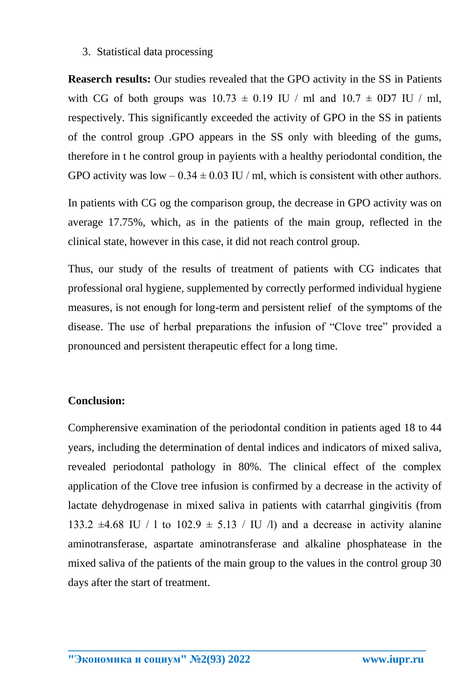#### 3. Statistical data processing

**Reaserch results:** Our studies revealed that the GPO activity in the SS in Patients with CG of both groups was  $10.73 \pm 0.19$  IU / ml and  $10.7 \pm 0.07$  IU / ml, respectively. This significantly exceeded the activity of GPO in the SS in patients of the control group .GPO appears in the SS only with bleeding of the gums, therefore in t he control group in payients with a healthy periodontal condition, the GPO activity was  $low - 0.34 \pm 0.03$  IU / ml, which is consistent with other authors.

In patients with CG og the comparison group, the decrease in GPO activity was on average 17.75%, which, as in the patients of the main group, reflected in the clinical state, however in this case, it did not reach control group.

Thus, our study of the results of treatment of patients with CG indicates that professional oral hygiene, supplemented by correctly performed individual hygiene measures, is not enough for long-term and persistent relief of the symptoms of the disease. The use of herbal preparations the infusion of "Clove tree" provided a pronounced and persistent therapeutic effect for a long time.

### **Conclusion:**

Compherensive examination of the periodontal condition in patients aged 18 to 44 years, including the determination of dental indices and indicators of mixed saliva, revealed periodontal pathology in 80%. The clinical effect of the complex application of the Clove tree infusion is confirmed by a decrease in the activity of lactate dehydrogenase in mixed saliva in patients with catarrhal gingivitis (from 133.2  $\pm$ 4.68 IU / 1 to 102.9  $\pm$  5.13 / IU /l) and a decrease in activity alanine aminotransferase, aspartate aminotransferase and alkaline phosphatease in the mixed saliva of the patients of the main group to the values in the control group 30 days after the start of treatment.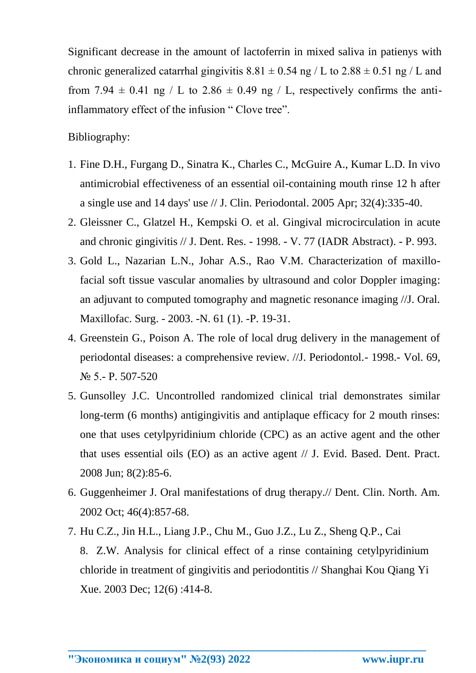Significant decrease in the amount of lactoferrin in mixed saliva in patienys with chronic generalized catarrhal gingivitis  $8.81 \pm 0.54$  ng / L to  $2.88 \pm 0.51$  ng / L and from 7.94  $\pm$  0.41 ng / L to 2.86  $\pm$  0.49 ng / L, respectively confirms the antiinflammatory effect of the infusion " Clove tree".

Bibliography:

- 1. Fine D.H., Furgang D., Sinatra K., Charles C., McGuire A., Kumar L.D. In vivo antimicrobial effectiveness of an essential oil-containing mouth rinse 12 h after a single use and 14 days' use // J. Clin. Periodontal. 2005 Apr; 32(4):335-40.
- 2. Gleissner C., Glatzel H., Kempski O. et al. Gingival microcirculation in acute and chronic gingivitis // J. Dent. Res. - 1998. - V. 77 (IADR Abstract). - P. 993.
- 3. Gold L., Nazarian L.N., Johar A.S., Rao V.M. Characterization of maxillofacial soft tissue vascular anomalies by ultrasound and color Doppler imaging: an adjuvant to computed tomography and magnetic resonance imaging //J. Oral. Maxillofac. Surg. - 2003. -N. 61 (1). -P. 19-31.
- 4. Greenstein G., Poison A. The role of local drug delivery in the management of periodontal diseases: a comprehensive review. //J. Periodontol.- 1998.- Vol. 69, N<sup>o</sup> 5.- P. 507-520
- 5. Gunsolley J.C. Uncontrolled randomized clinical trial demonstrates similar long-term (6 months) antigingivitis and antiplaque efficacy for 2 mouth rinses: one that uses cetylpyridinium chloride (CPC) as an active agent and the other that uses essential oils (EO) as an active agent // J. Evid. Based. Dent. Pract. 2008 Jun; 8(2):85-6.
- 6. Guggenheimer J. Oral manifestations of drug therapy.// Dent. Clin. North. Am. 2002 Oct; 46(4):857-68.
- 7. Hu C.Z., Jin H.L., Liang J.P., Chu M., Guo J.Z., Lu Z., Sheng Q.P., Cai 8. Z.W. Analysis for clinical effect of a rinse containing cetylpyridinium chloride in treatment of gingivitis and periodontitis // Shanghai Kou Qiang Yi Xue. 2003 Dec; 12(6) :414-8.